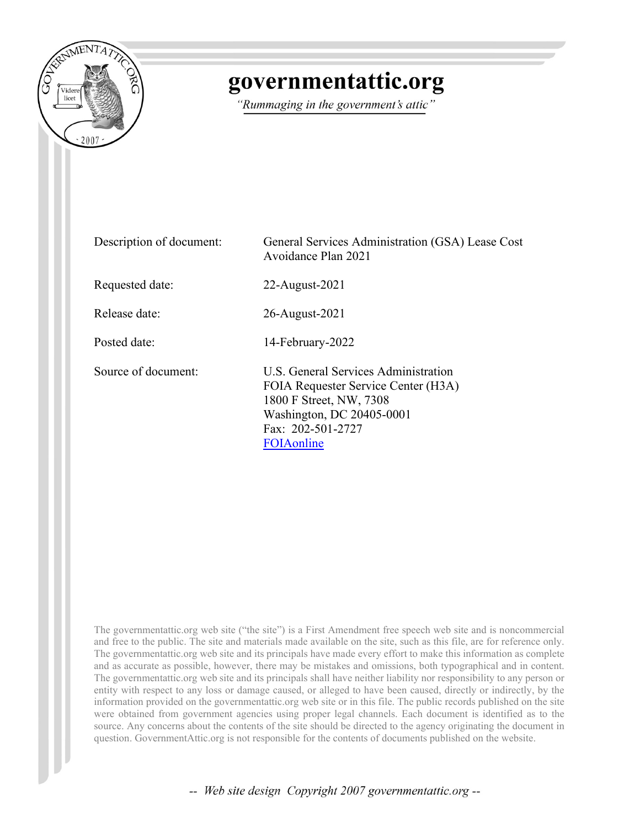

## governmentattic.org

"Rummaging in the government's attic"

| Description of document: | General Services Administration (GSA) Lease Cost<br>Avoidance Plan 2021                                                                                                |
|--------------------------|------------------------------------------------------------------------------------------------------------------------------------------------------------------------|
| Requested date:          | 22-August-2021                                                                                                                                                         |
| Release date:            | 26-August-2021                                                                                                                                                         |
| Posted date:             | 14-February-2022                                                                                                                                                       |
| Source of document:      | U.S. General Services Administration<br>FOIA Requester Service Center (H3A)<br>1800 F Street, NW, 7308<br>Washington, DC 20405-0001<br>Fax: 202-501-2727<br>FOIAonline |

The governmentattic.org web site ("the site") is a First Amendment free speech web site and is noncommercial and free to the public. The site and materials made available on the site, such as this file, are for reference only. The governmentattic.org web site and its principals have made every effort to make this information as complete and as accurate as possible, however, there may be mistakes and omissions, both typographical and in content. The governmentattic.org web site and its principals shall have neither liability nor responsibility to any person or entity with respect to any loss or damage caused, or alleged to have been caused, directly or indirectly, by the information provided on the governmentattic.org web site or in this file. The public records published on the site were obtained from government agencies using proper legal channels. Each document is identified as to the source. Any concerns about the contents of the site should be directed to the agency originating the document in question. GovernmentAttic.org is not responsible for the contents of documents published on the website.

-- Web site design Copyright 2007 governmentattic.org --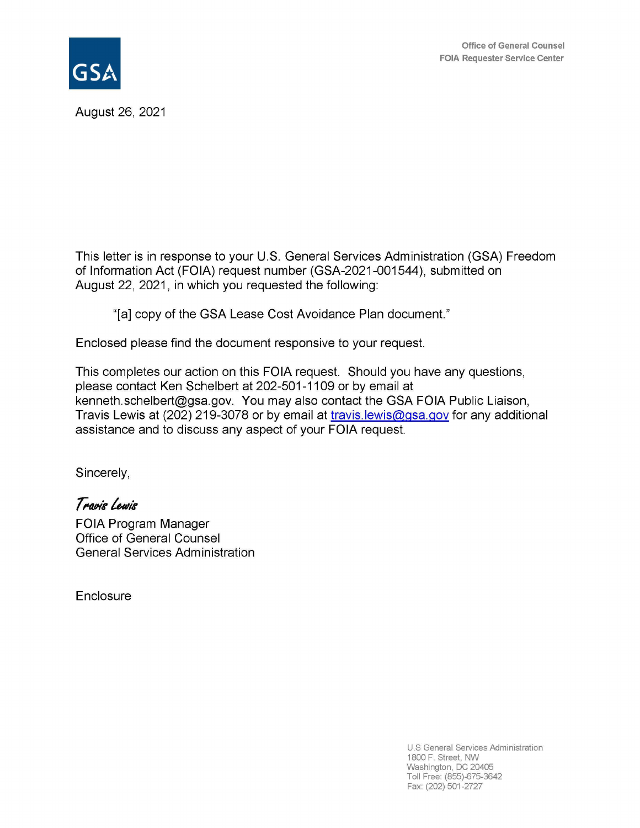



August 26, 2021

This letter is in response to your U.S. General Services Administration (GSA) Freedom of Information Act (FOIA) request number (GSA-2021-001544), submitted on August 22, 2021, in which you requested the following:

"[a] copy of the GSA Lease Cost Avoidance Plan document."

Enclosed please find the document responsive to your request.

This completes our action on this FOIA request. Should you have any questions, please contact Ken Schelbert at 202-501-1109 or by email at kenneth.schelbert@gsa.gov. You may also contact the GSA FOIA Public Liaison, Travis Lewis at (202) 219-3078 or by email at travis. lewis@gsa.gov for any additional assistance and to discuss any aspect of your FOIA request.

Sincerely,

Travis Lewis

FOIA Program Manager Office of General Counsel General Services Administration

**Enclosure** 

U.S General Services Administration 1800 F. Street, NW Washington, DC 20405 Toll Free: (855)-675-3642 Fax: (202) 501-2727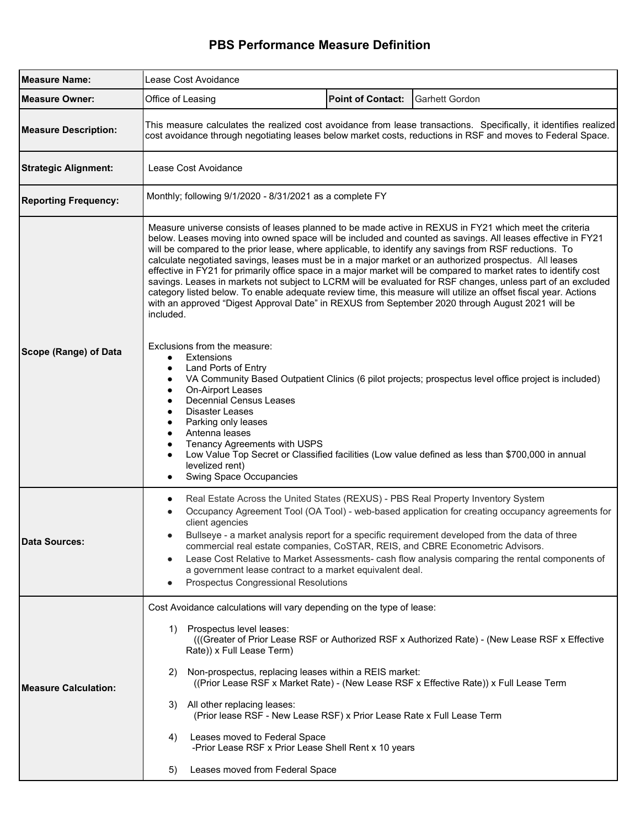## **PBS Performance Measure Definition**

| <b>Measure Name:</b>        | Lease Cost Avoidance                                                                                                                                                                                                                                                                                                                                                                                                                                                                                                                                                                                                                                                                                                                                                                                                                                                                                              |  |  |  |  |  |
|-----------------------------|-------------------------------------------------------------------------------------------------------------------------------------------------------------------------------------------------------------------------------------------------------------------------------------------------------------------------------------------------------------------------------------------------------------------------------------------------------------------------------------------------------------------------------------------------------------------------------------------------------------------------------------------------------------------------------------------------------------------------------------------------------------------------------------------------------------------------------------------------------------------------------------------------------------------|--|--|--|--|--|
| <b>Measure Owner:</b>       | Office of Leasing<br><b>Point of Contact:</b><br><b>Garhett Gordon</b>                                                                                                                                                                                                                                                                                                                                                                                                                                                                                                                                                                                                                                                                                                                                                                                                                                            |  |  |  |  |  |
| <b>Measure Description:</b> | This measure calculates the realized cost avoidance from lease transactions. Specifically, it identifies realized<br>cost avoidance through negotiating leases below market costs, reductions in RSF and moves to Federal Space.                                                                                                                                                                                                                                                                                                                                                                                                                                                                                                                                                                                                                                                                                  |  |  |  |  |  |
| <b>Strategic Alignment:</b> | Lease Cost Avoidance                                                                                                                                                                                                                                                                                                                                                                                                                                                                                                                                                                                                                                                                                                                                                                                                                                                                                              |  |  |  |  |  |
| <b>Reporting Frequency:</b> | Monthly; following 9/1/2020 - 8/31/2021 as a complete FY                                                                                                                                                                                                                                                                                                                                                                                                                                                                                                                                                                                                                                                                                                                                                                                                                                                          |  |  |  |  |  |
|                             | Measure universe consists of leases planned to be made active in REXUS in FY21 which meet the criteria<br>below. Leases moving into owned space will be included and counted as savings. All leases effective in FY21<br>will be compared to the prior lease, where applicable, to identify any savings from RSF reductions. To<br>calculate negotiated savings, leases must be in a major market or an authorized prospectus. All leases<br>effective in FY21 for primarily office space in a major market will be compared to market rates to identify cost<br>savings. Leases in markets not subject to LCRM will be evaluated for RSF changes, unless part of an excluded<br>category listed below. To enable adequate review time, this measure will utilize an offset fiscal year. Actions<br>with an approved "Digest Approval Date" in REXUS from September 2020 through August 2021 will be<br>included. |  |  |  |  |  |
| Scope (Range) of Data       | Exclusions from the measure:<br><b>Extensions</b><br>$\bullet$<br>Land Ports of Entry<br>VA Community Based Outpatient Clinics (6 pilot projects; prospectus level office project is included)<br>$\bullet$<br>On-Airport Leases<br>$\bullet$<br><b>Decennial Census Leases</b><br>Disaster Leases<br>Parking only leases<br>Antenna leases<br>Tenancy Agreements with USPS<br>Low Value Top Secret or Classified facilities (Low value defined as less than \$700,000 in annual<br>levelized rent)<br><b>Swing Space Occupancies</b>                                                                                                                                                                                                                                                                                                                                                                             |  |  |  |  |  |
| <b>Data Sources:</b>        | Real Estate Across the United States (REXUS) - PBS Real Property Inventory System<br>Occupancy Agreement Tool (OA Tool) - web-based application for creating occupancy agreements for<br>client agencies<br>Bullseye - a market analysis report for a specific requirement developed from the data of three<br>commercial real estate companies, CoSTAR, REIS, and CBRE Econometric Advisors.<br>Lease Cost Relative to Market Assessments- cash flow analysis comparing the rental components of<br>$\bullet$<br>a government lease contract to a market equivalent deal.<br><b>Prospectus Congressional Resolutions</b>                                                                                                                                                                                                                                                                                         |  |  |  |  |  |
| <b>Measure Calculation:</b> | Cost Avoidance calculations will vary depending on the type of lease:<br>1) Prospectus level leases:<br>(((Greater of Prior Lease RSF or Authorized RSF x Authorized Rate) - (New Lease RSF x Effective<br>Rate)) x Full Lease Term)<br>Non-prospectus, replacing leases within a REIS market:<br>2)<br>((Prior Lease RSF x Market Rate) - (New Lease RSF x Effective Rate)) x Full Lease Term<br>3) All other replacing leases:<br>(Prior lease RSF - New Lease RSF) x Prior Lease Rate x Full Lease Term<br>Leases moved to Federal Space<br>4)<br>-Prior Lease RSF x Prior Lease Shell Rent x 10 years<br>Leases moved from Federal Space<br>5)                                                                                                                                                                                                                                                                |  |  |  |  |  |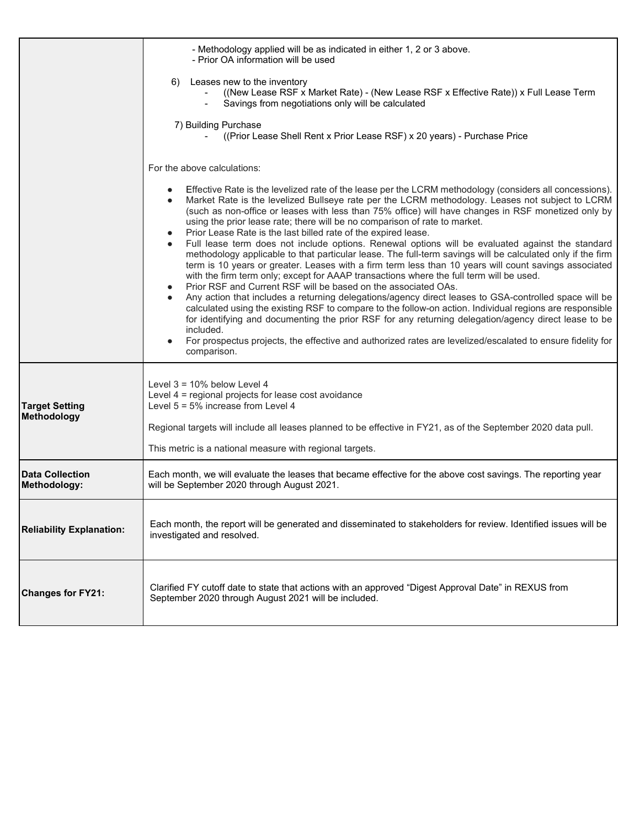|                                        | - Methodology applied will be as indicated in either 1, 2 or 3 above.<br>- Prior OA information will be used                                                                                                                                                                                                                                                                                                                                                                                                                                                                                                                                                                                                                                                                                                                                                                                                                                              |  |  |  |
|----------------------------------------|-----------------------------------------------------------------------------------------------------------------------------------------------------------------------------------------------------------------------------------------------------------------------------------------------------------------------------------------------------------------------------------------------------------------------------------------------------------------------------------------------------------------------------------------------------------------------------------------------------------------------------------------------------------------------------------------------------------------------------------------------------------------------------------------------------------------------------------------------------------------------------------------------------------------------------------------------------------|--|--|--|
|                                        | 6) Leases new to the inventory<br>((New Lease RSF x Market Rate) - (New Lease RSF x Effective Rate)) x Full Lease Term<br>Savings from negotiations only will be calculated                                                                                                                                                                                                                                                                                                                                                                                                                                                                                                                                                                                                                                                                                                                                                                               |  |  |  |
|                                        | 7) Building Purchase<br>((Prior Lease Shell Rent x Prior Lease RSF) x 20 years) - Purchase Price                                                                                                                                                                                                                                                                                                                                                                                                                                                                                                                                                                                                                                                                                                                                                                                                                                                          |  |  |  |
|                                        | For the above calculations:                                                                                                                                                                                                                                                                                                                                                                                                                                                                                                                                                                                                                                                                                                                                                                                                                                                                                                                               |  |  |  |
|                                        | Effective Rate is the levelized rate of the lease per the LCRM methodology (considers all concessions).<br>Market Rate is the levelized Bullseye rate per the LCRM methodology. Leases not subject to LCRM<br>(such as non-office or leases with less than 75% office) will have changes in RSF monetized only by<br>using the prior lease rate; there will be no comparison of rate to market.<br>Prior Lease Rate is the last billed rate of the expired lease.                                                                                                                                                                                                                                                                                                                                                                                                                                                                                         |  |  |  |
|                                        | Full lease term does not include options. Renewal options will be evaluated against the standard<br>methodology applicable to that particular lease. The full-term savings will be calculated only if the firm<br>term is 10 years or greater. Leases with a firm term less than 10 years will count savings associated<br>with the firm term only; except for AAAP transactions where the full term will be used.<br>Prior RSF and Current RSF will be based on the associated OAs.<br>Any action that includes a returning delegations/agency direct leases to GSA-controlled space will be<br>$\bullet$<br>calculated using the existing RSF to compare to the follow-on action. Individual regions are responsible<br>for identifying and documenting the prior RSF for any returning delegation/agency direct lease to be<br>included.<br>For prospectus projects, the effective and authorized rates are levelized/escalated to ensure fidelity for |  |  |  |
|                                        | comparison.                                                                                                                                                                                                                                                                                                                                                                                                                                                                                                                                                                                                                                                                                                                                                                                                                                                                                                                                               |  |  |  |
| <b>Target Setting</b><br>Methodology   | Level $3 = 10\%$ below Level 4<br>Level 4 = regional projects for lease cost avoidance<br>Level $5 = 5\%$ increase from Level 4                                                                                                                                                                                                                                                                                                                                                                                                                                                                                                                                                                                                                                                                                                                                                                                                                           |  |  |  |
|                                        | Regional targets will include all leases planned to be effective in FY21, as of the September 2020 data pull.                                                                                                                                                                                                                                                                                                                                                                                                                                                                                                                                                                                                                                                                                                                                                                                                                                             |  |  |  |
|                                        | This metric is a national measure with regional targets.                                                                                                                                                                                                                                                                                                                                                                                                                                                                                                                                                                                                                                                                                                                                                                                                                                                                                                  |  |  |  |
| <b>Data Collection</b><br>Methodology: | Each month, we will evaluate the leases that became effective for the above cost savings. The reporting year<br>will be September 2020 through August 2021.                                                                                                                                                                                                                                                                                                                                                                                                                                                                                                                                                                                                                                                                                                                                                                                               |  |  |  |
| <b>Reliability Explanation:</b>        | Each month, the report will be generated and disseminated to stakeholders for review. Identified issues will be<br>investigated and resolved.                                                                                                                                                                                                                                                                                                                                                                                                                                                                                                                                                                                                                                                                                                                                                                                                             |  |  |  |
| <b>Changes for FY21:</b>               | Clarified FY cutoff date to state that actions with an approved "Digest Approval Date" in REXUS from<br>September 2020 through August 2021 will be included.                                                                                                                                                                                                                                                                                                                                                                                                                                                                                                                                                                                                                                                                                                                                                                                              |  |  |  |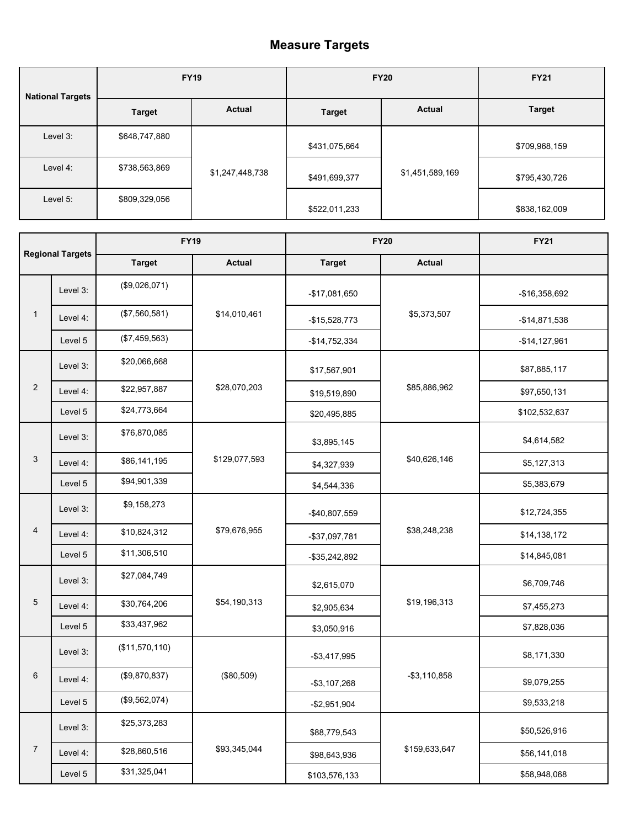## **Measure Targets**

| <b>National Targets</b> | <b>FY19</b>   |                 | <b>FY20</b>   |                 | <b>FY21</b>   |
|-------------------------|---------------|-----------------|---------------|-----------------|---------------|
|                         | <b>Target</b> | Actual          | <b>Target</b> | <b>Actual</b>   | <b>Target</b> |
| Level 3:                | \$648,747,880 |                 | \$431,075,664 |                 | \$709,968,159 |
| Level 4:                | \$738,563,869 | \$1,247,448,738 | \$491,699,377 | \$1,451,589,169 | \$795,430,726 |
| Level 5:                | \$809,329,056 |                 | \$522,011,233 |                 | \$838,162,009 |

|                |                         | <b>FY19</b>    |               | <b>FY20</b>     |                 | <b>FY21</b>    |
|----------------|-------------------------|----------------|---------------|-----------------|-----------------|----------------|
|                | <b>Regional Targets</b> | <b>Target</b>  | <b>Actual</b> | <b>Target</b>   | <b>Actual</b>   |                |
| 1              | Level 3:                | (\$9,026,071)  | \$14,010,461  | -\$17,081,650   | \$5,373,507     | -\$16,358,692  |
|                | Level 4:                | (\$7,560,581)  |               | $-$15,528,773$  |                 | $-$14,871,538$ |
|                | Level 5                 | (\$7,459,563)  |               | $-$14,752,334$  |                 | $-$14,127,961$ |
| $\overline{c}$ | Level 3:                | \$20,066,668   | \$28,070,203  | \$17,567,901    | \$85,886,962    | \$87,885,117   |
|                | Level 4:                | \$22,957,887   |               | \$19,519,890    |                 | \$97,650,131   |
|                | Level 5                 | \$24,773,664   |               | \$20,495,885    |                 | \$102,532,637  |
| 3              | Level 3:                | \$76,870,085   | \$129,077,593 | \$3,895,145     | \$40,626,146    | \$4,614,582    |
|                | Level 4:                | \$86,141,195   |               | \$4,327,939     |                 | \$5,127,313    |
|                | Level 5                 | \$94,901,339   |               | \$4,544,336     |                 | \$5,383,679    |
| 4              | Level 3:                | \$9,158,273    | \$79,676,955  | -\$40,807,559   | \$38,248,238    | \$12,724,355   |
|                | Level 4:                | \$10,824,312   |               | -\$37,097,781   |                 | \$14,138,172   |
|                | Level 5                 | \$11,306,510   |               | -\$35,242,892   |                 | \$14,845,081   |
|                | Level 3:                | \$27,084,749   | \$54,190,313  | \$2,615,070     |                 | \$6,709,746    |
| $\,$ 5 $\,$    | Level 4:                | \$30,764,206   |               | \$2,905,634     | \$19,196,313    | \$7,455,273    |
|                | Level 5                 | \$33,437,962   |               | \$3,050,916     |                 | \$7,828,036    |
| 6              | Level 3:                | (\$11,570,110) | (\$80,509)    | $-$ \$3,417,995 | $-$ \$3,110,858 | \$8,171,330    |
|                | Level 4:                | (\$9,870,837)  |               | $-$3,107,268$   |                 | \$9,079,255    |
|                | Level 5                 | (\$9,562,074)  |               | $-$2,951,904$   |                 | \$9,533,218    |
| $\overline{7}$ | Level 3:                | \$25,373,283   | \$93,345,044  | \$88,779,543    | \$159,633,647   | \$50,526,916   |
|                | Level 4:                | \$28,860,516   |               | \$98,643,936    |                 | \$56,141,018   |
|                | Level 5                 | \$31,325,041   |               | \$103,576,133   |                 | \$58,948,068   |